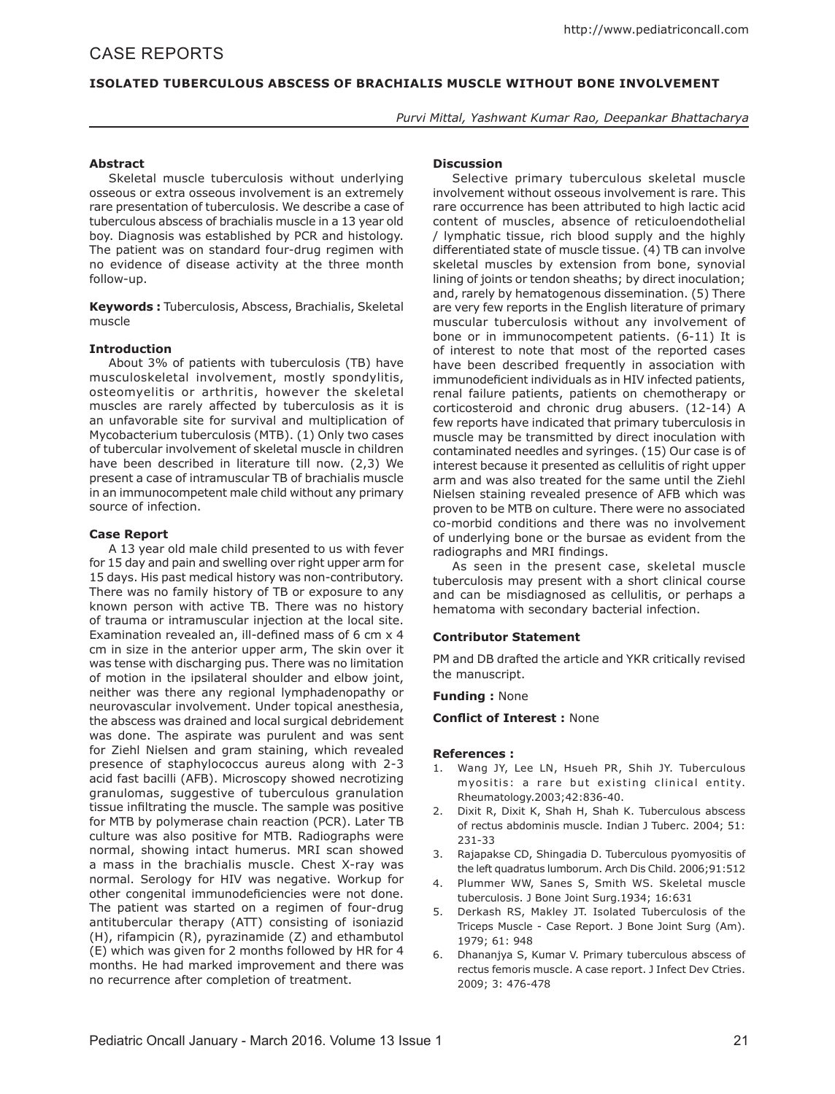## **ISOLATED TUBERCULOUS ABSCESS OF BRACHIALIS MUSCLE WITHOUT BONE INVOLVEMENT**

*Purvi Mittal, Yashwant Kumar Rao, Deepankar Bhattacharya*

## **Abstract**

Skeletal muscle tuberculosis without underlying osseous or extra osseous involvement is an extremely rare presentation of tuberculosis. We describe a case of tuberculous abscess of brachialis muscle in a 13 year old boy. Diagnosis was established by PCR and histology. The patient was on standard four-drug regimen with no evidence of disease activity at the three month follow-up.

**Keywords :** Tuberculosis, Abscess, Brachialis, Skeletal muscle

## **Introduction**

About 3% of patients with tuberculosis (TB) have musculoskeletal involvement, mostly spondylitis, osteomyelitis or arthritis, however the skeletal muscles are rarely affected by tuberculosis as it is an unfavorable site for survival and multiplication of Mycobacterium tuberculosis (MTB). (1) Only two cases of tubercular involvement of skeletal muscle in children have been described in literature till now. (2,3) We present a case of intramuscular TB of brachialis muscle in an immunocompetent male child without any primary source of infection.

#### **Case Report**

A 13 year old male child presented to us with fever for 15 day and pain and swelling over right upper arm for 15 days. His past medical history was non-contributory. There was no family history of TB or exposure to any known person with active TB. There was no history of trauma or intramuscular injection at the local site. Examination revealed an, ill-defined mass of 6 cm x 4 cm in size in the anterior upper arm, The skin over it was tense with discharging pus. There was no limitation of motion in the ipsilateral shoulder and elbow joint, neither was there any regional lymphadenopathy or neurovascular involvement. Under topical anesthesia, the abscess was drained and local surgical debridement was done. The aspirate was purulent and was sent for Ziehl Nielsen and gram staining, which revealed presence of staphylococcus aureus along with 2-3 acid fast bacilli (AFB). Microscopy showed necrotizing granulomas, suggestive of tuberculous granulation tissue infiltrating the muscle. The sample was positive for MTB by polymerase chain reaction (PCR). Later TB culture was also positive for MTB. Radiographs were normal, showing intact humerus. MRI scan showed a mass in the brachialis muscle. Chest X-ray was normal. Serology for HIV was negative. Workup for other congenital immunodeficiencies were not done. The patient was started on a regimen of four-drug antitubercular therapy (ATT) consisting of isoniazid (H), rifampicin (R), pyrazinamide (Z) and ethambutol (E) which was given for 2 months followed by HR for 4 months. He had marked improvement and there was no recurrence after completion of treatment.

#### **Discussion**

Selective primary tuberculous skeletal muscle involvement without osseous involvement is rare. This rare occurrence has been attributed to high lactic acid content of muscles, absence of reticuloendothelial / lymphatic tissue, rich blood supply and the highly differentiated state of muscle tissue. (4) TB can involve skeletal muscles by extension from bone, synovial lining of joints or tendon sheaths; by direct inoculation; and, rarely by hematogenous dissemination. (5) There are very few reports in the English literature of primary muscular tuberculosis without any involvement of bone or in immunocompetent patients. (6-11) It is of interest to note that most of the reported cases have been described frequently in association with immunodeficient individuals as in HIV infected patients, renal failure patients, patients on chemotherapy or corticosteroid and chronic drug abusers. (12-14) A few reports have indicated that primary tuberculosis in muscle may be transmitted by direct inoculation with contaminated needles and syringes. (15) Our case is of interest because it presented as cellulitis of right upper arm and was also treated for the same until the Ziehl Nielsen staining revealed presence of AFB which was proven to be MTB on culture. There were no associated co-morbid conditions and there was no involvement of underlying bone or the bursae as evident from the radiographs and MRI findings.

As seen in the present case, skeletal muscle tuberculosis may present with a short clinical course and can be misdiagnosed as cellulitis, or perhaps a hematoma with secondary bacterial infection.

#### **Contributor Statement**

PM and DB drafted the article and YKR critically revised the manuscript.

#### **Funding :** None

#### **Conflict of Interest :** None

#### **References :**

- 1. Wang JY, Lee LN, Hsueh PR, Shih JY. Tuberculous myositis: a rare but existing clinical entity. Rheumatology.2003;42:836-40.
- 2. Dixit R, Dixit K, Shah H, Shah K. Tuberculous abscess of rectus abdominis muscle. Indian J Tuberc. 2004; 51: 231-33
- 3. Rajapakse CD, Shingadia D. Tuberculous pyomyositis of the left quadratus lumborum. Arch Dis Child. 2006;91:512
- Plummer WW, Sanes S, Smith WS. Skeletal muscle tuberculosis. J Bone Joint Surg.1934; 16:631
- 5. Derkash RS, Makley JT. Isolated Tuberculosis of the Triceps Muscle - Case Report. J Bone Joint Surg (Am). 1979; 61: 948
- 6. Dhananjya S, Kumar V. Primary tuberculous abscess of rectus femoris muscle. A case report. J Infect Dev Ctries. 2009; 3: 476-478